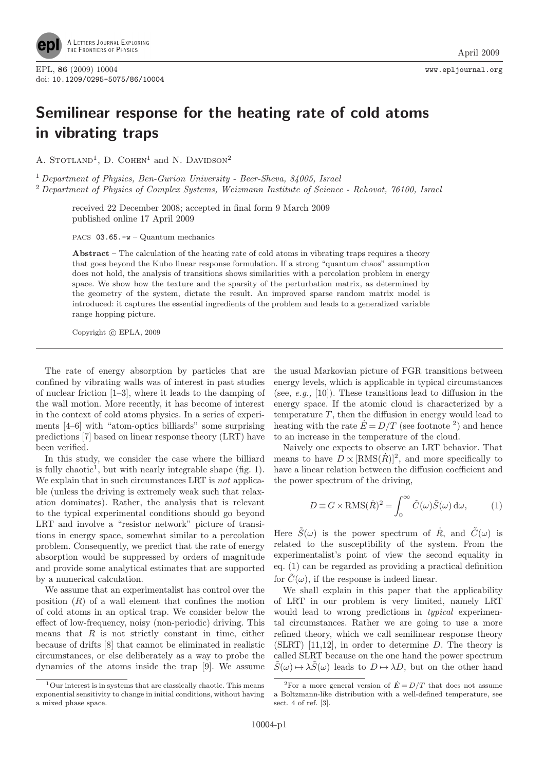

## Semilinear response for the heating rate of cold atoms in vibrating traps

A. STOTLAND<sup>1</sup>, D. COHEN<sup>1</sup> and N. DAVIDSON<sup>2</sup>

<sup>1</sup> Department of Physics, Ben-Gurion University - Beer-Sheva, 84005, Israel <sup>2</sup> Department of Physics of Complex Systems, Weizmann Institute of Science - Rehovot, 76100, Israel

received 22 December 2008; accepted in final form 9 March 2009 published online 17 April 2009

PACS 03.65.-w – Quantum mechanics

Abstract – The calculation of the heating rate of cold atoms in vibrating traps requires a theory that goes beyond the Kubo linear response formulation. If a strong "quantum chaos" assumption does not hold, the analysis of transitions shows similarities with a percolation problem in energy space. We show how the texture and the sparsity of the perturbation matrix, as determined by the geometry of the system, dictate the result. An improved sparse random matrix model is introduced: it captures the essential ingredients of the problem and leads to a generalized variable range hopping picture.

Copyright  $\odot$  EPLA, 2009

The rate of energy absorption by particles that are confined by vibrating walls was of interest in past studies of nuclear friction [1–3], where it leads to the damping of the wall motion. More recently, it has become of interest in the context of cold atoms physics. In a series of experiments [4–6] with "atom-optics billiards" some surprising predictions [7] based on linear response theory (LRT) have been verified.

In this study, we consider the case where the billiard is fully chaotic<sup>1</sup>, but with nearly integrable shape (fig. 1). We explain that in such circumstances LRT is *not* applicable (unless the driving is extremely weak such that relaxation dominates). Rather, the analysis that is relevant to the typical experimental conditions should go beyond LRT and involve a "resistor network" picture of transitions in energy space, somewhat similar to a percolation problem. Consequently, we predict that the rate of energy absorption would be suppressed by orders of magnitude and provide some analytical estimates that are supported by a numerical calculation.

We assume that an experimentalist has control over the position  $(R)$  of a wall element that confines the motion of cold atoms in an optical trap. We consider below the effect of low-frequency, noisy (non-periodic) driving. This means that  $R$  is not strictly constant in time, either because of drifts [8] that cannot be eliminated in realistic circumstances, or else deliberately as a way to probe the dynamics of the atoms inside the trap [9]. We assume

the usual Markovian picture of FGR transitions between energy levels, which is applicable in typical circumstances (see, e.g.,  $[10]$ ). These transitions lead to diffusion in the energy space. If the atomic cloud is characterized by a temperature  $T$ , then the diffusion in energy would lead to heating with the rate  $\dot{E} = D/T$  (see footnote <sup>2</sup>) and hence to an increase in the temperature of the cloud.

Naively one expects to observe an LRT behavior. That means to have  $D \propto [\text{RMS}(\dot{R})]^2$ , and more specifically to have a linear relation between the diffusion coefficient and the power spectrum of the driving,

$$
D \equiv G \times \text{RMS}(\dot{R})^2 = \int_0^\infty \tilde{C}(\omega)\tilde{S}(\omega) d\omega, \tag{1}
$$

Here  $\tilde{S}(\omega)$  is the power spectrum of  $\dot{R}$ , and  $\tilde{C}(\omega)$  is related to the susceptibility of the system. From the experimentalist's point of view the second equality in eq. (1) can be regarded as providing a practical definition for  $\tilde{C}(\omega)$ , if the response is indeed linear.

We shall explain in this paper that the applicability of LRT in our problem is very limited, namely LRT would lead to wrong predictions in *typical* experimental circumstances. Rather we are going to use a more refined theory, which we call semilinear response theory  $(SLRT)$  [11,12], in order to determine D. The theory is called SLRT because on the one hand the power spectrum  $S(\omega) \mapsto \lambda \overline{S}(\omega)$  leads to  $D \mapsto \lambda D$ , but on the other hand

 $1$ Our interest is in systems that are classically chaotic. This means exponential sensitivity to change in initial conditions, without having a mixed phase space.

<sup>&</sup>lt;sup>2</sup>For a more general version of  $\dot{E} = D/T$  that does not assume a Boltzmann-like distribution with a well-defined temperature, see sect. 4 of ref. [3].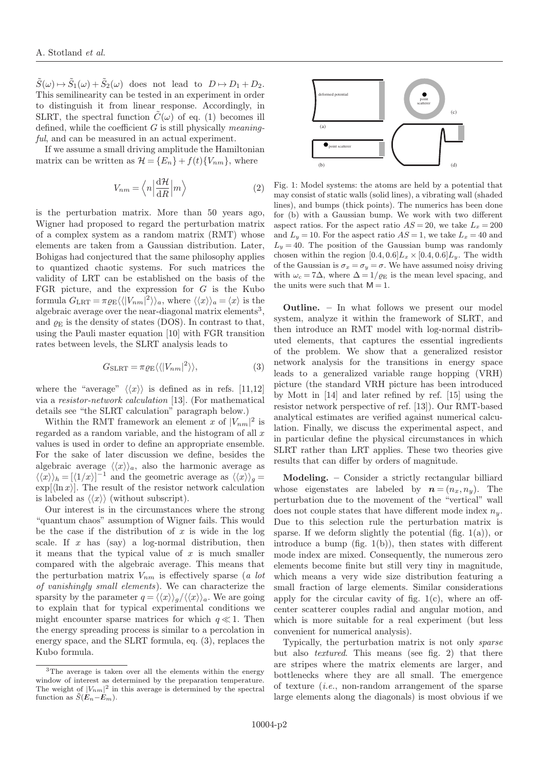$\tilde{S}(\omega) \mapsto \tilde{S}_1(\omega) + \tilde{S}_2(\omega)$  does not lead to  $D \mapsto D_1 + D_2$ . This semilinearity can be tested in an experiment in order to distinguish it from linear response. Accordingly, in SLRT, the spectral function  $\tilde{C}(\omega)$  of eq. (1) becomes ill defined, while the coefficient  $G$  is still physically *meaning*ful, and can be measured in an actual experiment.

If we assume a small driving amplitude the Hamiltonian matrix can be written as  $\mathcal{H} = \{E_n\} + f(t)\{V_{nm}\}\$ , where

$$
V_{nm} = \left\langle n \left| \frac{\mathrm{d} \mathcal{H}}{\mathrm{d} R} \right| m \right\rangle \tag{2}
$$

is the perturbation matrix. More than 50 years ago, Wigner had proposed to regard the perturbation matrix of a complex system as a random matrix (RMT) whose elements are taken from a Gaussian distribution. Later, Bohigas had conjectured that the same philosophy applies to quantized chaotic systems. For such matrices the validity of LRT can be established on the basis of the FGR picture, and the expression for  $G$  is the Kubo formula  $G_{\text{LRT}} = \pi \varrho_{\text{E}} \langle \langle |V_{nm}|^2 \rangle \rangle_a$ , where  $\langle \langle x \rangle \rangle_a = \langle x \rangle$  is the algebraic average over the near-diagonal matrix elements<sup>3</sup>, and  $\rho_E$  is the density of states (DOS). In contrast to that, using the Pauli master equation [10] with FGR transition rates between levels, the SLRT analysis leads to

$$
G_{\text{SLRT}} = \pi \varrho_{\text{E}} \langle \langle |V_{nm}|^2 \rangle \rangle, \tag{3}
$$

where the "average"  $\langle x \rangle$  is defined as in refs. [11,12] via a resistor-network calculation [13]. (For mathematical details see "the SLRT calculation" paragraph below.)

Within the RMT framework an element x of  $|V_{nm}|^2$  is regarded as a random variable, and the histogram of all  $x$ values is used in order to define an appropriate ensemble. For the sake of later discussion we define, besides the algebraic average  $\langle \langle x \rangle \rangle_a$ , also the harmonic average as  $\langle \langle x \rangle \rangle_h = [\langle 1/x \rangle]^{-1}$  and the geometric average as  $\langle \langle x \rangle \rangle_g =$  $\exp[\langle \ln x \rangle]$ . The result of the resistor network calculation is labeled as  $\langle x \rangle$  (without subscript).

Our interest is in the circumstances where the strong "quantum chaos" assumption of Wigner fails. This would be the case if the distribution of  $x$  is wide in the log scale. If x has  $(say)$  a log-normal distribution, then it means that the typical value of  $x$  is much smaller compared with the algebraic average. This means that the perturbation matrix  $V_{nm}$  is effectively sparse (a lot of vanishingly small elements). We can characterize the sparsity by the parameter  $q = \langle \langle x \rangle \rangle_q / \langle \langle x \rangle \rangle_a$ . We are going to explain that for typical experimental conditions we might encounter sparse matrices for which  $q \ll 1$ . Then the energy spreading process is similar to a percolation in energy space, and the SLRT formula, eq. (3), replaces the Kubo formula.



Fig. 1: Model systems: the atoms are held by a potential that may consist of static walls (solid lines), a vibrating wall (shaded lines), and bumps (thick points). The numerics has been done for (b) with a Gaussian bump. We work with two different aspect ratios. For the aspect ratio  $AS = 20$ , we take  $L_x = 200$ and  $L_y = 10$ . For the aspect ratio  $AS = 1$ , we take  $L_x = 40$  and  $L_y = 40$ . The position of the Gaussian bump was randomly chosen within the region  $[0.4, 0.6]L_x \times [0.4, 0.6]L_y$ . The width of the Gaussian is  $\sigma_x = \sigma_y = \sigma$ . We have assumed noisy driving with  $\omega_c = 7\Delta$ , where  $\Delta = 1/\varrho_E$  is the mean level spacing, and the units were such that  $M = 1$ .

Outline. – In what follows we present our model system, analyze it within the framework of SLRT, and then introduce an RMT model with log-normal distributed elements, that captures the essential ingredients of the problem. We show that a generalized resistor network analysis for the transitions in energy space leads to a generalized variable range hopping (VRH) picture (the standard VRH picture has been introduced by Mott in [14] and later refined by ref. [15] using the resistor network perspective of ref. [13]). Our RMT-based analytical estimates are verified against numerical calculation. Finally, we discuss the experimental aspect, and in particular define the physical circumstances in which SLRT rather than LRT applies. These two theories give results that can differ by orders of magnitude.

Modeling. – Consider a strictly rectangular billiard whose eigenstates are labeled by  $n = (n_x, n_y)$ . The perturbation due to the movement of the "vertical" wall does not couple states that have different mode index  $n_y$ . Due to this selection rule the perturbation matrix is sparse. If we deform slightly the potential (fig.  $1(a)$ ), or introduce a bump (fig.  $1(b)$ ), then states with different mode index are mixed. Consequently, the numerous zero elements become finite but still very tiny in magnitude, which means a very wide size distribution featuring a small fraction of large elements. Similar considerations apply for the circular cavity of fig.  $1(c)$ , where an offcenter scatterer couples radial and angular motion, and which is more suitable for a real experiment (but less convenient for numerical analysis).

Typically, the perturbation matrix is not only sparse but also textured. This means (see fig. 2) that there are stripes where the matrix elements are larger, and bottlenecks where they are all small. The emergence of texture (i.e., non-random arrangement of the sparse large elements along the diagonals) is most obvious if we

<sup>&</sup>lt;sup>3</sup>The average is taken over all the elements within the energy window of interest as determined by the preparation temperature. The weight of  $|V_{nm}|^2$  in this average is determined by the spectral function as  $\tilde{S}(E_n-E_m)$ .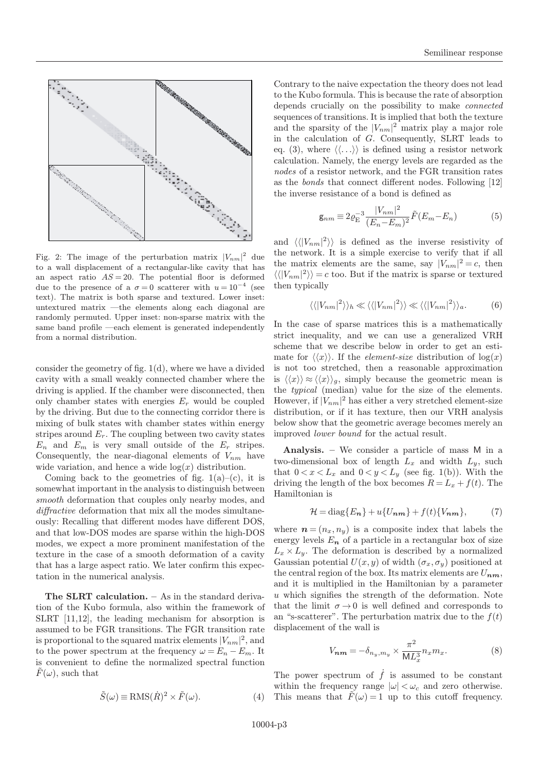

Fig. 2: The image of the perturbation matrix  $|V_{nm}|^2$  due to a wall displacement of a rectangular-like cavity that has an aspect ratio  $AS = 20$ . The potential floor is deformed due to the presence of a  $\sigma = 0$  scatterer with  $u = 10^{-4}$  (see text). The matrix is both sparse and textured. Lower inset: untextured matrix —the elements along each diagonal are randomly permuted. Upper inset: non-sparse matrix with the same band profile —each element is generated independently from a normal distribution.

consider the geometry of fig. 1(d), where we have a divided cavity with a small weakly connected chamber where the driving is applied. If the chamber were disconnected, then only chamber states with energies  $E_r$  would be coupled by the driving. But due to the connecting corridor there is mixing of bulk states with chamber states within energy stripes around  $E_r$ . The coupling between two cavity states  $E_n$  and  $E_m$  is very small outside of the  $E_r$  stripes. Consequently, the near-diagonal elements of  $V_{nm}$  have wide variation, and hence a wide  $log(x)$  distribution.

Coming back to the geometries of fig.  $1(a)$ –(c), it is somewhat important in the analysis to distinguish between smooth deformation that couples only nearby modes, and diffractive deformation that mix all the modes simultaneously: Recalling that different modes have different DOS, and that low-DOS modes are sparse within the high-DOS modes, we expect a more prominent manifestation of the texture in the case of a smooth deformation of a cavity that has a large aspect ratio. We later confirm this expectation in the numerical analysis.

The SLRT calculation. – As in the standard derivation of the Kubo formula, also within the framework of SLRT [11,12], the leading mechanism for absorption is assumed to be FGR transitions. The FGR transition rate is proportional to the squared matrix elements  $|V_{nm}|^2$ , and to the power spectrum at the frequency  $\omega = E_n - E_m$ . It is convenient to define the normalized spectral function  $F(\omega)$ , such that

$$
\tilde{S}(\omega) \equiv \text{RMS}(\dot{R})^2 \times \tilde{F}(\omega). \tag{4}
$$

Contrary to the naive expectation the theory does not lead to the Kubo formula. This is because the rate of absorption depends crucially on the possibility to make connected sequences of transitions. It is implied that both the texture and the sparsity of the  $|V_{nm}|^2$  matrix play a major role in the calculation of G. Consequently, SLRT leads to eq. (3), where  $\langle \langle \ldots \rangle \rangle$  is defined using a resistor network calculation. Namely, the energy levels are regarded as the nodes of a resistor network, and the FGR transition rates as the bonds that connect different nodes. Following [12] the inverse resistance of a bond is defined as

$$
g_{nm} \equiv 2\varrho_{\rm E}^{-3} \frac{|V_{nm}|^2}{(E_n - E_m)^2} \tilde{F}(E_m - E_n) \tag{5}
$$

and  $\langle\langle |V_{nm}|^2 \rangle\rangle$  is defined as the inverse resistivity of the network. It is a simple exercise to verify that if all the matrix elements are the same, say  $|V_{nm}|^2 = c$ , then  $\langle \langle |V_{nm}|^2 \rangle \rangle = c$  too. But if the matrix is sparse or textured then typically

$$
\langle \langle |V_{nm}|^2 \rangle \rangle_h \ll \langle \langle |V_{nm}|^2 \rangle \rangle \ll \langle \langle |V_{nm}|^2 \rangle \rangle_a. \tag{6}
$$

In the case of sparse matrices this is a mathematically strict inequality, and we can use a generalized VRH scheme that we describe below in order to get an estimate for  $\langle x \rangle$ . If the *element-size* distribution of  $\log(x)$ is not too stretched, then a reasonable approximation is  $\langle x \rangle \approx \langle x \rangle$ , simply because the geometric mean is the typical (median) value for the size of the elements. However, if  $|V_{nm}|^2$  has either a very stretched element-size distribution, or if it has texture, then our VRH analysis below show that the geometric average becomes merely an improved lower bound for the actual result.

Analysis. – We consider a particle of mass M in a two-dimensional box of length  $L_x$  and width  $L_y$ , such that  $0 < x < L_x$  and  $0 < y < L_y$  (see fig. 1(b)). With the driving the length of the box becomes  $R = L_x + f(t)$ . The Hamiltonian is

$$
\mathcal{H} = \text{diag}\{E_n\} + u\{U_{nm}\} + f(t)\{V_{nm}\},\tag{7}
$$

where  $\mathbf{n} = (n_x, n_y)$  is a composite index that labels the energy levels  $E_n$  of a particle in a rectangular box of size  $L_x \times L_y$ . The deformation is described by a normalized Gaussian potential  $U(x, y)$  of width  $(\sigma_x, \sigma_y)$  positioned at the central region of the box. Its matrix elements are  $U_{nm}$ , and it is multiplied in the Hamiltonian by a parameter  $u$  which signifies the strength of the deformation. Note that the limit  $\sigma \rightarrow 0$  is well defined and corresponds to an "s-scatterer". The perturbation matrix due to the  $f(t)$ displacement of the wall is

$$
V_{\boldsymbol{n}\boldsymbol{m}} = -\delta_{n_y,m_y} \times \frac{\pi^2}{\mathsf{M}L_x^3} n_x m_x. \tag{8}
$$

The power spectrum of  $\hat{f}$  is assumed to be constant within the frequency range  $|\omega| < \omega_c$  and zero otherwise. This means that  $\tilde{F}(\omega) = 1$  up to this cutoff frequency.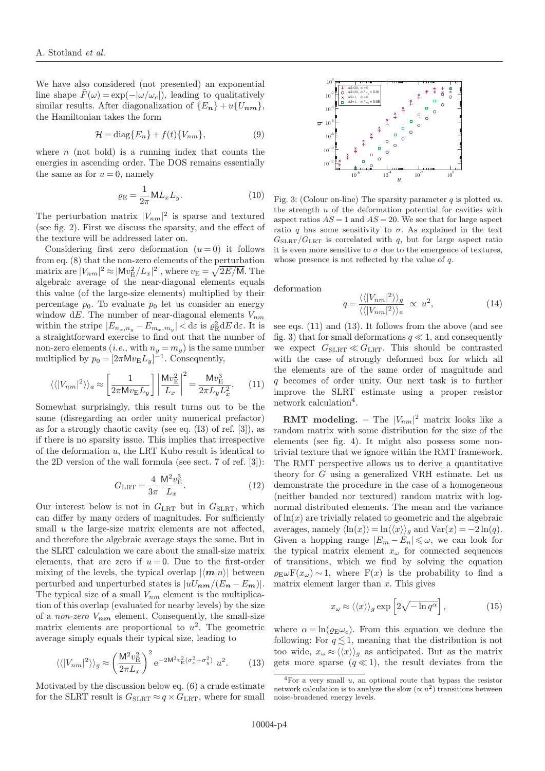We have also considered (not presented) an exponential line shape  $\hat{F}(\omega) = \exp(-|\omega/\omega_c|)$ , leading to qualitatively similar results. After diagonalization of  $\{E_n\}+u\{U_{nm}\},$ the Hamiltonian takes the form

$$
\mathcal{H} = \text{diag}\{E_n\} + f(t)\{V_{nm}\},\tag{9}
$$

where  $n$  (not bold) is a running index that counts the energies in ascending order. The DOS remains essentially the same as for  $u = 0$ , namely

$$
\varrho_{\mathcal{E}} = \frac{1}{2\pi} \mathsf{M} L_x L_y. \tag{10}
$$

The perturbation matrix  $|V_{nm}|^2$  is sparse and textured (see fig. 2). First we discuss the sparsity, and the effect of the texture will be addressed later on.

Considering first zero deformation  $(u = 0)$  it follows from eq. (8) that the non-zero elements of the perturbation matrix are  $|V_{nm}|^2 \approx |Mv_E^2/L_x|^2$ , where  $v_E = \sqrt{2E/M}$ . The algebraic average of the near-diagonal elements equals this value (of the large-size elements) multiplied by their percentage  $p_0$ . To evaluate  $p_0$  let us consider an energy window dE. The number of near-diagonal elements  $V_{nm}$ within the stripe  $|E_{n_x,n_y}-E_{m_x,m_y}|<\mathrm{d}\varepsilon$  is  $\varrho^2_{\mathrm{E}}\mathrm{d}E\,\mathrm{d}\varepsilon.$  It is a straightforward exercise to find out that the number of non-zero elements (*i.e.*, with  $n_y = m_y$ ) is the same number multiplied by  $p_0 = \left[2\pi M v_E L_y\right]^{-1}$ . Consequently,

$$
\langle \langle |V_{nm}|^2 \rangle \rangle_a \approx \left[ \frac{1}{2\pi \mathsf{M} v_{\mathcal{E}} L_y} \right] \left| \frac{\mathsf{M} v_{\mathcal{E}}^2}{L_x} \right|^2 = \frac{\mathsf{M} v_{\mathcal{E}}^3}{2\pi L_y L_x^2}.
$$
 (11)

Somewhat surprisingly, this result turns out to be the same (disregarding an order unity numerical prefactor) as for a strongly chaotic cavity (see eq. (I3) of ref. [3]), as if there is no sparsity issue. This implies that irrespective of the deformation u, the LRT Kubo result is identical to the 2D version of the wall formula (see sect. 7 of ref. [3]):

$$
G_{\rm LRT} = \frac{4}{3\pi} \frac{\mathsf{M}^2 v_{\rm E}^3}{L_x}.
$$
 (12)

Our interest below is not in  $G_{\text{LRT}}$  but in  $G_{\text{SLRT}}$ , which can differ by many orders of magnitudes. For sufficiently small u the large-size matrix elements are not affected, and therefore the algebraic average stays the same. But in the SLRT calculation we care about the small-size matrix elements, that are zero if  $u = 0$ . Due to the first-order mixing of the levels, the typical overlap  $|\langle m|n\rangle|$  between perturbed and unperturbed states is  $|uU_{nm}/(E_n - E_m)|$ . The typical size of a small  $V_{nm}$  element is the multiplication of this overlap (evaluated for nearby levels) by the size of a non-zero  $V_{nm}$  element. Consequently, the small-size matrix elements are proportional to  $u^2$ . The geometric average simply equals their typical size, leading to

$$
\langle \langle |V_{nm}|^2 \rangle \rangle_g \approx \left(\frac{M^2 v_E^2}{2\pi L_x}\right)^2 e^{-2M^2 v_E^2 (\sigma_x^2 + \sigma_y^2)} u^2.
$$
 (13)

Motivated by the discussion below eq. (6) a crude estimate for the SLRT result is  $G_{SLRT} \approx q \times G_{LRT}$ , where for small



Fig. 3: (Colour on-line) The sparsity parameter  $q$  is plotted vs. the strength  $u$  of the deformation potential for cavities with aspect ratios  $AS = 1$  and  $AS = 20$ . We see that for large aspect ratio q has some sensitivity to  $\sigma$ . As explained in the text  $G_{SLRT}/G_{LRT}$  is correlated with q, but for large aspect ratio it is even more sensitive to  $\sigma$  due to the emergence of textures, whose presence is not reflected by the value of  $q$ .

deformation

$$
q = \frac{\langle \langle |V_{nm}|^2 \rangle \rangle_g}{\langle \langle |V_{nm}|^2 \rangle \rangle_a} \propto u^2,
$$
\n(14)

see eqs. (11) and (13). It follows from the above (and see fig. 3) that for small deformations  $q \ll 1$ , and consequently we expect  $G_{\text{SLRT}} \ll G_{\text{LRT}}$ . This should be contrasted with the case of strongly deformed box for which all the elements are of the same order of magnitude and q becomes of order unity. Our next task is to further improve the SLRT estimate using a proper resistor network calculation<sup>4</sup>.

**RMT** modeling. – The  $|V_{nm}|^2$  matrix looks like a random matrix with some distribution for the size of the elements (see fig. 4). It might also possess some nontrivial texture that we ignore within the RMT framework. The RMT perspective allows us to derive a quantitative theory for G using a generalized VRH estimate. Let us demonstrate the procedure in the case of a homogeneous (neither banded nor textured) random matrix with lognormal distributed elements. The mean and the variance of  $ln(x)$  are trivially related to geometric and the algebraic averages, namely  $\langle \ln(x) \rangle = \ln \langle \langle x \rangle \rangle_g$  and  $\text{Var}(x) = -2 \ln(q)$ . Given a hopping range  $|E_m - E_n| \leq \omega$ , we can look for the typical matrix element  $x_{\omega}$  for connected sequences of transitions, which we find by solving the equation  $\rho_{\rm E}\omega F(x_{\omega})\sim 1$ , where  $F(x)$  is the probability to find a matrix element larger than  $x$ . This gives

$$
x_{\omega} \approx \langle \langle x \rangle \rangle_g \exp\left[2\sqrt{-\ln q^{\alpha}}\right],\tag{15}
$$

where  $\alpha = \ln(\rho_{\rm E} \omega_c)$ . From this equation we deduce the following: For  $q \leq 1$ , meaning that the distribution is not too wide,  $x_{\omega} \approx \langle \langle x \rangle \rangle_g$  as anticipated. But as the matrix gets more sparse  $(q \ll 1)$ , the result deviates from the

 $4$ For a very small  $u$ , an optional route that bypass the resistor network calculation is to analyze the slow  $(\propto u^2)$  transitions between noise-broadened energy levels.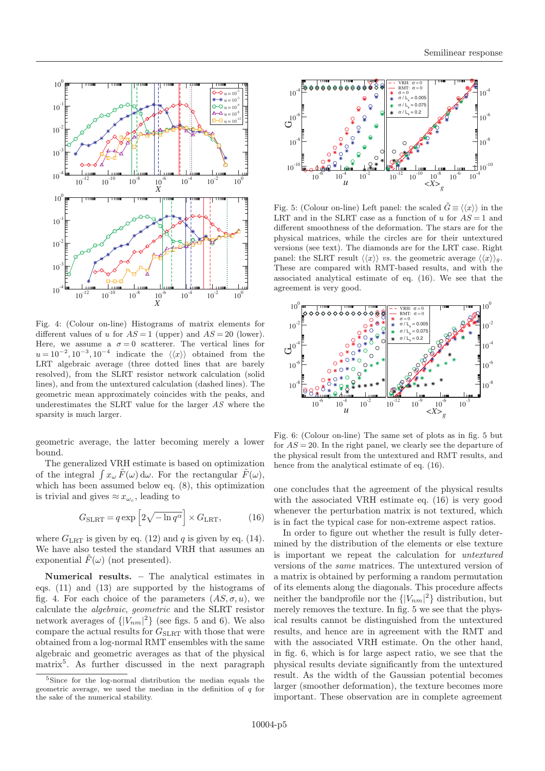

Fig. 4: (Colour on-line) Histograms of matrix elements for different values of u for  $AS = 1$  (upper) and  $AS = 20$  (lower). Here, we assume a  $\sigma = 0$  scatterer. The vertical lines for  $u = 10^{-2}, 10^{-3}, 10^{-4}$  indicate the  $\langle \langle x \rangle \rangle$  obtained from the LRT algebraic average (three dotted lines that are barely resolved), from the SLRT resistor network calculation (solid lines), and from the untextured calculation (dashed lines). The geometric mean approximately coincides with the peaks, and underestimates the SLRT value for the larger  $AS$  where the sparsity is much larger.

geometric average, the latter becoming merely a lower bound.

The generalized VRH estimate is based on optimization of the integral  $\int x_{\omega} \tilde{F}(\omega) d\omega$ . For the rectangular  $\tilde{F}(\omega)$ , which has been assumed below eq. (8), this optimization is trivial and gives  $\approx x_{\omega_c}$ , leading to

$$
G_{\text{SLRT}} = q \exp\left[2\sqrt{-\ln q^{\alpha}}\right] \times G_{\text{LRT}},\tag{16}
$$

where  $G_{\text{LRT}}$  is given by eq. (12) and q is given by eq. (14). We have also tested the standard VRH that assumes an exponential  $F(\omega)$  (not presented).

Numerical results. – The analytical estimates in eqs. (11) and (13) are supported by the histograms of fig. 4. For each choice of the parameters  $(AS, \sigma, u)$ , we calculate the algebraic, geometric and the SLRT resistor network averages of  $\{ |V_{nm}|^2 \}$  (see figs. 5 and 6). We also compare the actual results for  $G_{SLRT}$  with those that were obtained from a log-normal RMT ensembles with the same algebraic and geometric averages as that of the physical matrix<sup>5</sup> . As further discussed in the next paragraph



Fig. 5: (Colour on-line) Left panel: the scaled  $\tilde{G} \equiv \langle \langle x \rangle \rangle$  in the LRT and in the SLRT case as a function of u for  $AS = 1$  and different smoothness of the deformation. The stars are for the physical matrices, while the circles are for their untextured versions (see text). The diamonds are for the LRT case. Right panel: the SLRT result  $\langle\langle x\rangle\rangle$  vs. the geometric average  $\langle\langle x\rangle\rangle_g$ . These are compared with RMT-based results, and with the associated analytical estimate of eq. (16). We see that the agreement is very good.



Fig. 6: (Colour on-line) The same set of plots as in fig. 5 but for  $AS = 20$ . In the right panel, we clearly see the departure of the physical result from the untextured and RMT results, and hence from the analytical estimate of eq. (16).

one concludes that the agreement of the physical results with the associated VRH estimate eq. (16) is very good whenever the perturbation matrix is not textured, which is in fact the typical case for non-extreme aspect ratios.

In order to figure out whether the result is fully determined by the distribution of the elements or else texture is important we repeat the calculation for untextured versions of the same matrices. The untextured version of a matrix is obtained by performing a random permutation of its elements along the diagonals. This procedure affects neither the bandprofile nor the  $\{ |V_{nm}|^2 \}$  distribution, but merely removes the texture. In fig. 5 we see that the physical results cannot be distinguished from the untextured results, and hence are in agreement with the RMT and with the associated VRH estimate. On the other hand, in fig. 6, which is for large aspect ratio, we see that the physical results deviate significantly from the untextured result. As the width of the Gaussian potential becomes larger (smoother deformation), the texture becomes more important. These observation are in complete agreement

<sup>&</sup>lt;sup>5</sup>Since for the log-normal distribution the median equals the geometric average, we used the median in the definition of  $q$  for the sake of the numerical stability.